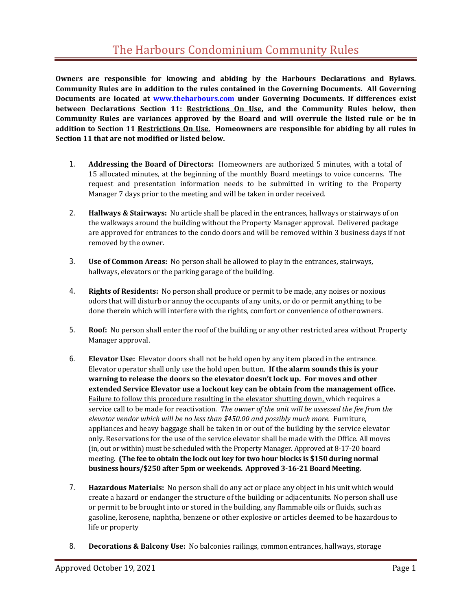**Owners are responsible for knowing and abiding by the Harbours Declarations and Bylaws. Community Rules are in addition to the rules contained in the Governing Documents. All Governing Documents are located at [www.theharbours.com](http://www.theharbours.com/) under Governing Documents. If differences exist between Declarations Section 11: Restrictions On Use, and the Community Rules below, then Community Rules are variances approved by the Board and will overrule the listed rule or be in addition to Section 11 Restrictions On Use. Homeowners are responsible for abiding by all rules in Section 11 that are not modified or listed below.**

- 1. **Addressing the Board of Directors:** Homeowners are authorized 5 minutes, with a total of 15 allocated minutes, at the beginning of the monthly Board meetings to voice concerns. The request and presentation information needs to be submitted in writing to the Property Manager 7 days prior to the meeting and will be taken in order received.
- 2. **Hallways & Stairways:** No article shall be placed in the entrances, hallways or stairways of on the walkways around the building without the Property Manager approval. Delivered package are approved for entrances to the condo doors and will be removed within 3 business days if not removed by the owner.
- 3. **Use of Common Areas:** No person shall be allowed to play in the entrances, stairways, hallways, elevators or the parking garage of the building.
- 4. **Rights of Residents:** No person shall produce or permit to be made, any noises or noxious odors that will disturb or annoy the occupants of any units, or do or permit anything to be done therein which will interfere with the rights, comfort or convenience of otherowners.
- 5. **Roof:** No person shall enter the roof of the building or any other restricted area without Property Manager approval.
- 6. **Elevator Use:** Elevator doors shall not be held open by any item placed in the entrance. Elevator operator shall only use the hold open button. **If the alarm sounds this is your warning to release the doors so the elevator doesn't lock up. For moves and other extended Service Elevator use a lockout key can be obtain from the management office.**  Failure to follow this procedure resulting in the elevator shutting down, which requires a service call to be made for reactivation. *The owner of the unit will be assessed the fee from the elevator vendor which will be no less than \$450.00 and possibly much more.* Furniture, appliances and heavy baggage shall be taken in or out of the building by the service elevator only. Reservations for the use of the service elevator shall be made with the Office. All moves (in, out or within) must be scheduled with the Property Manager. Approved at 8-17-20 board meeting. **(The fee to obtain the lock out key for two hour blocks is \$150 during normal business hours/\$250 after 5pm or weekends. Approved 3-16-21 Board Meeting.**
- 7. **Hazardous Materials:** No person shall do any act or place any object in his unit which would create a hazard or endanger the structure of the building or adjacentunits. No person shall use or permit to be brought into or stored in the building, any flammable oils or fluids, such as gasoline, kerosene, naphtha, benzene or other explosive or articles deemed to be hazardous to life or property
- 8. **Decorations & Balcony Use:** No balconies railings, common entrances, hallways, storage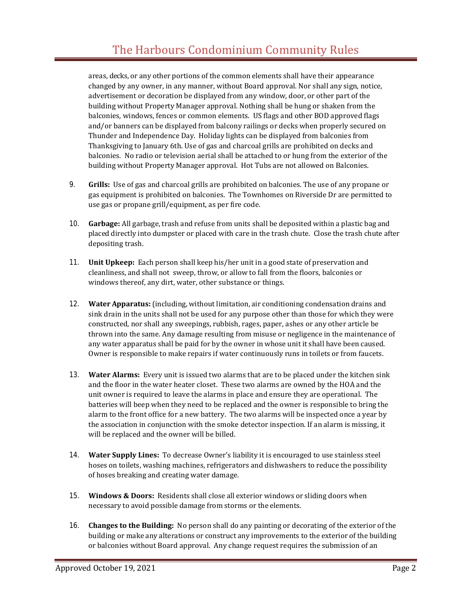areas, decks, or any other portions of the common elements shall have their appearance changed by any owner, in any manner, without Board approval. Nor shall any sign, notice, advertisement or decoration be displayed from any window, door, or other part of the building without Property Manager approval. Nothing shall be hung or shaken from the balconies, windows, fences or common elements. US flags and other BOD approved flags and/or banners can be displayed from balcony railings or decks when properly secured on Thunder and Independence Day. Holiday lights can be displayed from balconies from Thanksgiving to January 6th. Use of gas and charcoal grills are prohibited on decks and balconies. No radio or television aerial shall be attached to or hung from the exterior of the building without Property Manager approval. Hot Tubs are not allowed on Balconies.

- 9. **Grills:** Use of gas and charcoal grills are prohibited on balconies. The use of any propane or gas equipment is prohibited on balconies. The Townhomes on Riverside Dr are permitted to use gas or propane grill/equipment, as per fire code.
- 10. **Garbage:** All garbage, trash and refuse from units shall be deposited within a plastic bag and placed directly into dumpster or placed with care in the trash chute. Close the trash chute after depositing trash.
- 11. **Unit Upkeep:** Each person shall keep his/her unit in a good state of preservation and cleanliness, and shall not sweep, throw, or allow to fall from the floors, balconies or windows thereof, any dirt, water, other substance or things.
- 12. **Water Apparatus:**(including, without limitation, air conditioning condensation drains and sink drain in the units shall not be used for any purpose other than those for which they were constructed, nor shall any sweepings, rubbish, rages, paper, ashes or any other article be thrown into the same. Any damage resulting from misuse or negligence in the maintenance of any water apparatus shall be paid for by the owner in whose unit it shall have been caused. Owner is responsible to make repairs if water continuously runs in toilets or from faucets.
- 13. **Water Alarms:** Every unit is issued two alarms that are to be placed under the kitchen sink and the floor in the water heater closet. These two alarms are owned by the HOA and the unit owner is required to leave the alarms in place and ensure they are operational. The batteries will beep when they need to be replaced and the owner is responsible to bring the alarm to the front office for a new battery. The two alarms will be inspected once a year by the association in conjunction with the smoke detector inspection. If an alarm is missing, it will be replaced and the owner will be billed.
- 14. **Water Supply Lines:** To decrease Owner's liability it is encouraged to use stainless steel hoses on toilets, washing machines, refrigerators and dishwashers to reduce the possibility of hoses breaking and creating water damage.
- 15. **Windows & Doors:** Residents shall close all exterior windows or sliding doors when necessary to avoid possible damage from storms or the elements.
- 16. **Changes to the Building:** No person shall do any painting or decorating of the exterior of the building or make any alterations or construct any improvements to the exterior of the building or balconies without Board approval. Any change request requires the submission of an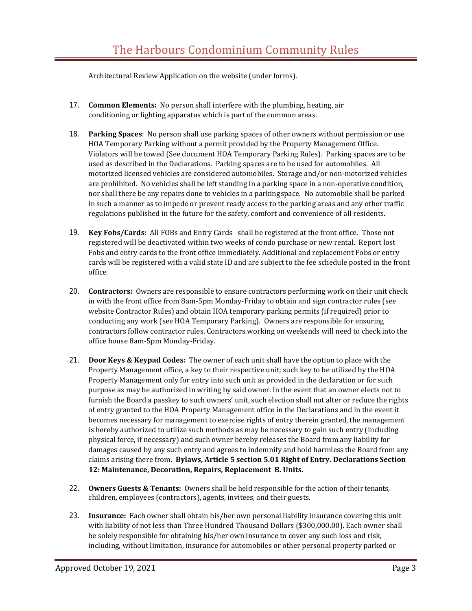Architectural Review Application on the website (under forms).

- 17. **Common Elements:** No person shall interfere with the plumbing, heating, air conditioning or lighting apparatus which is part of the common areas.
- 18. **Parking Spaces**: No person shall use parking spaces of other owners without permission or use HOA Temporary Parking without a permit provided by the Property Management Office. Violators will be towed (See document HOA Temporary Parking Rules). Parking spaces are to be used as described in the Declarations. Parking spaces are to be used for automobiles. All motorized licensed vehicles are considered automobiles. Storage and/or non-motorized vehicles are prohibited. No vehicles shall be left standing in a parking space in a non-operative condition, nor shall there be any repairs done to vehicles in a parkingspace. No automobile shall be parked in such a manner as to impede or prevent ready access to the parking areas and any other traffic regulations published in the future for the safety, comfort and convenience of all residents.
- 19. **Key Fobs/Cards:** All FOBs and Entry Cards shall be registered at the front office. Those not registered will be deactivated within two weeks of condo purchase or new rental. Report lost Fobs and entry cards to the front office immediately. Additional and replacement Fobs or entry cards will be registered with a valid state ID and are subject to the fee schedule posted in the front office.
- 20. **Contractors:** Owners are responsible to ensure contractors performing work on their unit check in with the front office from 8am-5pm Monday-Friday to obtain and sign contractor rules (see website Contractor Rules) and obtain HOA temporary parking permits (if required) prior to conducting any work (see HOA Temporary Parking). Owners are responsible for ensuring contractors follow contractor rules. Contractors working on weekends will need to check into the office house 8am-5pm Monday-Friday.
- 21. **Door Keys & Keypad Codes:** The owner of each unit shall have the option to place with the Property Management office, a key to their respective unit; such key to be utilized by the HOA Property Management only for entry into such unit as provided in the declaration or for such purpose as may be authorized in writing by said owner. In the event that an owner elects not to furnish the Board a passkey to such owners' unit, such election shall not alter or reduce the rights of entry granted to the HOA Property Management office in the Declarations and in the event it becomes necessary for management to exercise rights of entry therein granted, the management is hereby authorized to utilize such methods as may be necessary to gain such entry (including physical force, if necessary) and such owner hereby releases the Board from any liability for damages caused by any such entry and agrees to indemnify and hold harmless the Board from any claims arising there from. **Bylaws, Article 5 section 5.01 Right of Entry. Declarations Section 12: Maintenance, Decoration, Repairs, Replacement B. Units.**
- 22. **Owners Guests & Tenants:** Owners shall be held responsible for the action of their tenants, children, employees (contractors), agents, invitees, and their guests.
- 23. **Insurance:** Each owner shall obtain his/her own personal liability insurance covering this unit with liability of not less than Three Hundred Thousand Dollars (\$300,000.00). Each owner shall be solely responsible for obtaining his/her own insurance to cover any such loss and risk, including, without limitation, insurance for automobiles or other personal property parked or